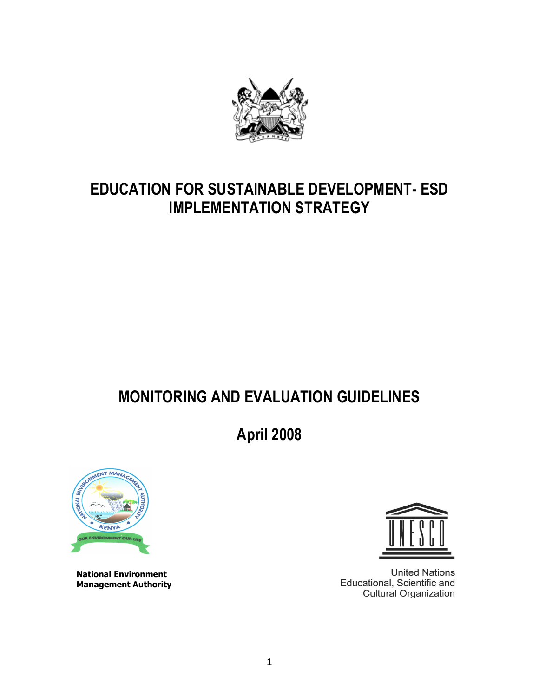

# EDUCATION FOR SUSTAINABLE DEVELOPMENT- ESD IMPLEMENTATION STRATEGY

# MONITORING AND EVALUATION GUIDELINES

April 2008



National Environment Management Authority



**United Nations** Educational, Scientific and **Cultural Organization**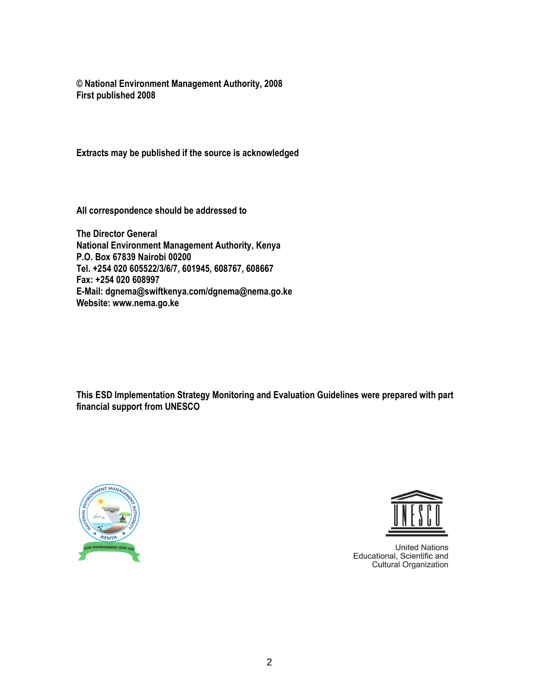© National Environment Management Authority, 2008 First published 2008

Extracts may be published if the source is acknowledged

All correspondence should be addressed to

The Director General National Environment Management Authority, Kenya P.O. Box 67839 Nairobi 00200 Tel. +254 020 605522/3/6/7, 601945, 608767, 608667 Fax: +254 020 608997 E-Mail: dgnema@swiftkenya.com/dgnema@nema.go.ke Website: www.nema.go.ke

This ESD Implementation Strategy Monitoring and Evaluation Guidelines were prepared with part financial support from UNESCO





**United Nations** Educational, Scientific and<br>Cultural Organization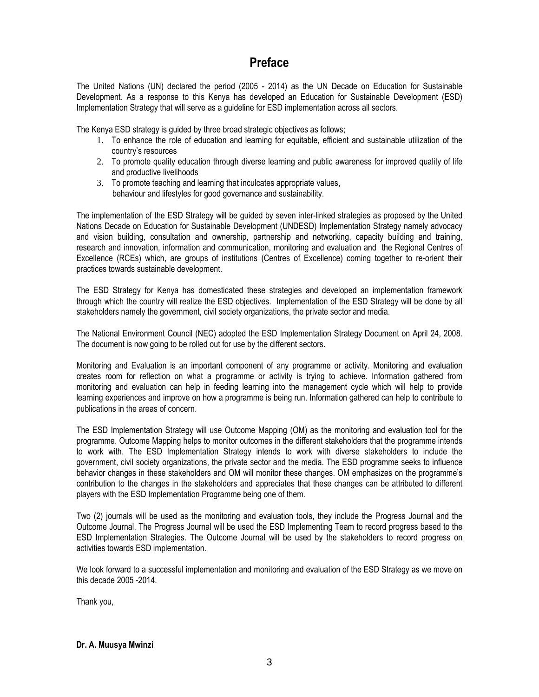# Preface

The United Nations (UN) declared the period (2005 - 2014) as the UN Decade on Education for Sustainable Development. As a response to this Kenya has developed an Education for Sustainable Development (ESD) Implementation Strategy that will serve as a guideline for ESD implementation across all sectors.

The Kenya ESD strategy is guided by three broad strategic objectives as follows;

- 1. To enhance the role of education and learning for equitable, efficient and sustainable utilization of the country's resources
- 2. To promote quality education through diverse learning and public awareness for improved quality of life and productive livelihoods
- 3. To promote teaching and learning that inculcates appropriate values, behaviour and lifestyles for good governance and sustainability.

The implementation of the ESD Strategy will be guided by seven inter-linked strategies as proposed by the United Nations Decade on Education for Sustainable Development (UNDESD) Implementation Strategy namely advocacy and vision building, consultation and ownership, partnership and networking, capacity building and training, research and innovation, information and communication, monitoring and evaluation and the Regional Centres of Excellence (RCEs) which, are groups of institutions (Centres of Excellence) coming together to re-orient their practices towards sustainable development.

The ESD Strategy for Kenya has domesticated these strategies and developed an implementation framework through which the country will realize the ESD objectives. Implementation of the ESD Strategy will be done by all stakeholders namely the government, civil society organizations, the private sector and media.

The National Environment Council (NEC) adopted the ESD Implementation Strategy Document on April 24, 2008. The document is now going to be rolled out for use by the different sectors.

Monitoring and Evaluation is an important component of any programme or activity. Monitoring and evaluation creates room for reflection on what a programme or activity is trying to achieve. Information gathered from monitoring and evaluation can help in feeding learning into the management cycle which will help to provide learning experiences and improve on how a programme is being run. Information gathered can help to contribute to publications in the areas of concern.

The ESD Implementation Strategy will use Outcome Mapping (OM) as the monitoring and evaluation tool for the programme. Outcome Mapping helps to monitor outcomes in the different stakeholders that the programme intends to work with. The ESD Implementation Strategy intends to work with diverse stakeholders to include the government, civil society organizations, the private sector and the media. The ESD programme seeks to influence behavior changes in these stakeholders and OM will monitor these changes. OM emphasizes on the programme's contribution to the changes in the stakeholders and appreciates that these changes can be attributed to different players with the ESD Implementation Programme being one of them.

Two (2) journals will be used as the monitoring and evaluation tools, they include the Progress Journal and the Outcome Journal. The Progress Journal will be used the ESD Implementing Team to record progress based to the ESD Implementation Strategies. The Outcome Journal will be used by the stakeholders to record progress on activities towards ESD implementation.

We look forward to a successful implementation and monitoring and evaluation of the ESD Strategy as we move on this decade 2005 -2014.

Thank you,

#### Dr. A. Muusya Mwinzi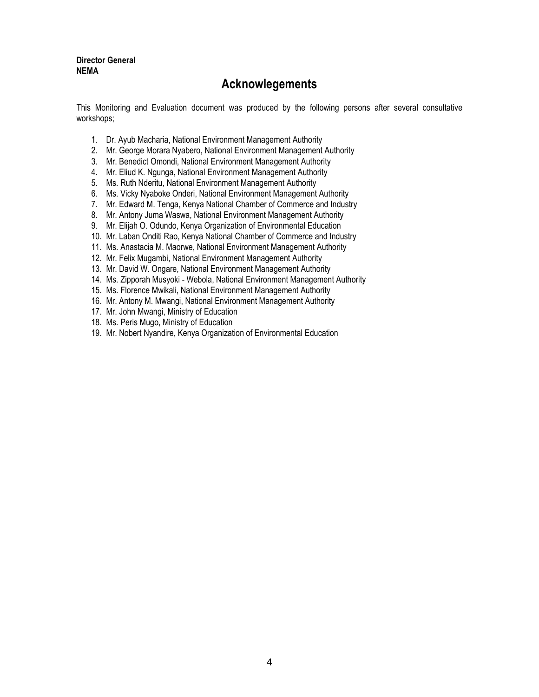Director General NEMA

## Acknowlegements

This Monitoring and Evaluation document was produced by the following persons after several consultative workshops;

- 1. Dr. Ayub Macharia, National Environment Management Authority
- 2. Mr. George Morara Nyabero, National Environment Management Authority
- 3. Mr. Benedict Omondi, National Environment Management Authority
- 4. Mr. Eliud K. Ngunga, National Environment Management Authority
- 5. Ms. Ruth Nderitu, National Environment Management Authority
- 6. Ms. Vicky Nyaboke Onderi, National Environment Management Authority
- 7. Mr. Edward M. Tenga, Kenya National Chamber of Commerce and Industry
- 8. Mr. Antony Juma Waswa, National Environment Management Authority
- 9. Mr. Elijah O. Odundo, Kenya Organization of Environmental Education
- 10. Mr. Laban Onditi Rao, Kenya National Chamber of Commerce and Industry
- 11. Ms. Anastacia M. Maorwe, National Environment Management Authority
- 12. Mr. Felix Mugambi, National Environment Management Authority
- 13. Mr. David W. Ongare, National Environment Management Authority
- 14. Ms. Zipporah Musyoki Webola, National Environment Management Authority
- 15. Ms. Florence Mwikali, National Environment Management Authority
- 16. Mr. Antony M. Mwangi, National Environment Management Authority
- 17. Mr. John Mwangi, Ministry of Education
- 18. Ms. Peris Mugo, Ministry of Education
- 19. Mr. Nobert Nyandire, Kenya Organization of Environmental Education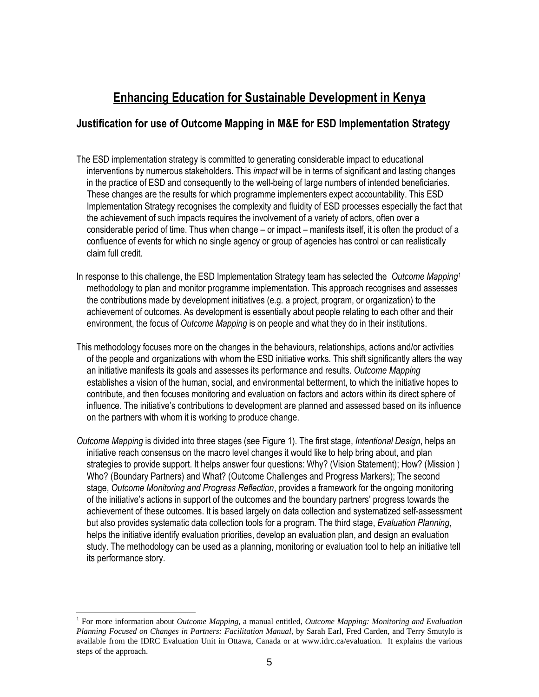# Enhancing Education for Sustainable Development in Kenya

### Justification for use of Outcome Mapping in M&E for ESD Implementation Strategy

- The ESD implementation strategy is committed to generating considerable impact to educational interventions by numerous stakeholders. This *impact* will be in terms of significant and lasting changes in the practice of ESD and consequently to the well-being of large numbers of intended beneficiaries. These changes are the results for which programme implementers expect accountability. This ESD Implementation Strategy recognises the complexity and fluidity of ESD processes especially the fact that the achievement of such impacts requires the involvement of a variety of actors, often over a considerable period of time. Thus when change – or impact – manifests itself, it is often the product of a confluence of events for which no single agency or group of agencies has control or can realistically claim full credit.
- In response to this challenge, the ESD Implementation Strategy team has selected the Outcome Mapping<sup>1</sup> methodology to plan and monitor programme implementation. This approach recognises and assesses the contributions made by development initiatives (e.g. a project, program, or organization) to the achievement of outcomes. As development is essentially about people relating to each other and their environment, the focus of Outcome Mapping is on people and what they do in their institutions.
- This methodology focuses more on the changes in the behaviours, relationships, actions and/or activities of the people and organizations with whom the ESD initiative works. This shift significantly alters the way an initiative manifests its goals and assesses its performance and results. Outcome Mapping establishes a vision of the human, social, and environmental betterment, to which the initiative hopes to contribute, and then focuses monitoring and evaluation on factors and actors within its direct sphere of influence. The initiative's contributions to development are planned and assessed based on its influence on the partners with whom it is working to produce change.
- Outcome Mapping is divided into three stages (see Figure 1). The first stage, Intentional Design, helps an initiative reach consensus on the macro level changes it would like to help bring about, and plan strategies to provide support. It helps answer four questions: Why? (Vision Statement); How? (Mission ) Who? (Boundary Partners) and What? (Outcome Challenges and Progress Markers); The second stage, Outcome Monitoring and Progress Reflection, provides a framework for the ongoing monitoring of the initiative's actions in support of the outcomes and the boundary partners' progress towards the achievement of these outcomes. It is based largely on data collection and systematized self-assessment but also provides systematic data collection tools for a program. The third stage, Evaluation Planning, helps the initiative identify evaluation priorities, develop an evaluation plan, and design an evaluation study. The methodology can be used as a planning, monitoring or evaluation tool to help an initiative tell its performance story.

 $\overline{a}$ 

<sup>1</sup> For more information about *Outcome Mapping*, a manual entitled, *Outcome Mapping: Monitoring and Evaluation Planning Focused on Changes in Partners: Facilitation Manual,* by Sarah Earl, Fred Carden, and Terry Smutylo is available from the IDRC Evaluation Unit in Ottawa, Canada or at www.idrc.ca/evaluation. It explains the various steps of the approach.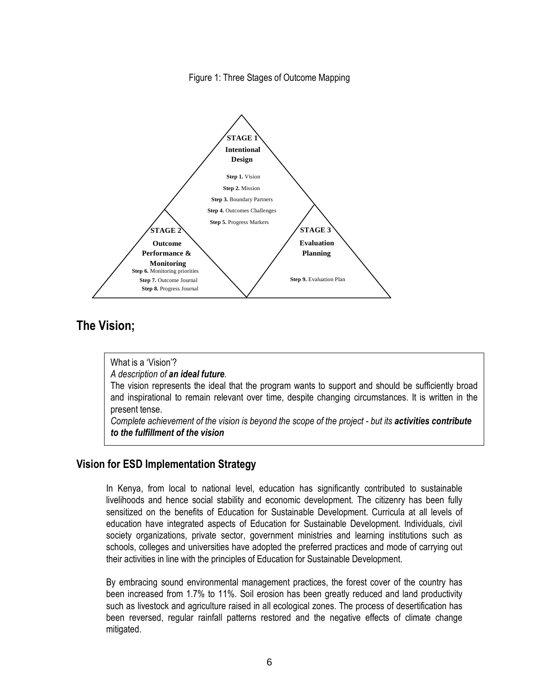



# The Vision;

What is a 'Vision'?

A description of an ideal future.

The vision represents the ideal that the program wants to support and should be sufficiently broad and inspirational to remain relevant over time, despite changing circumstances. It is written in the present tense.

Complete achievement of the vision is beyond the scope of the project - but its activities contribute to the fulfillment of the vision

### Vision for ESD Implementation Strategy

In Kenya, from local to national level, education has significantly contributed to sustainable livelihoods and hence social stability and economic development. The citizenry has been fully sensitized on the benefits of Education for Sustainable Development. Curricula at all levels of education have integrated aspects of Education for Sustainable Development. Individuals, civil society organizations, private sector, government ministries and learning institutions such as schools, colleges and universities have adopted the preferred practices and mode of carrying out their activities in line with the principles of Education for Sustainable Development.

By embracing sound environmental management practices, the forest cover of the country has been increased from 1.7% to 11%. Soil erosion has been greatly reduced and land productivity such as livestock and agriculture raised in all ecological zones. The process of desertification has been reversed, regular rainfall patterns restored and the negative effects of climate change mitigated.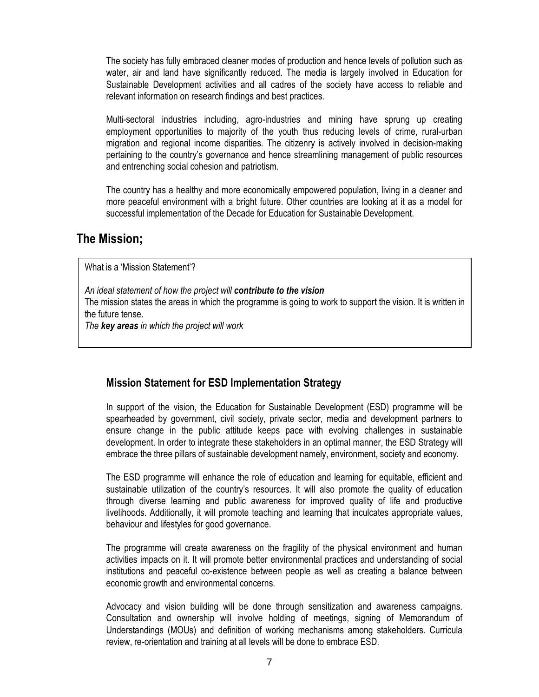The society has fully embraced cleaner modes of production and hence levels of pollution such as water, air and land have significantly reduced. The media is largely involved in Education for Sustainable Development activities and all cadres of the society have access to reliable and relevant information on research findings and best practices.

Multi-sectoral industries including, agro-industries and mining have sprung up creating employment opportunities to majority of the youth thus reducing levels of crime, rural-urban migration and regional income disparities. The citizenry is actively involved in decision-making pertaining to the country's governance and hence streamlining management of public resources and entrenching social cohesion and patriotism.

The country has a healthy and more economically empowered population, living in a cleaner and more peaceful environment with a bright future. Other countries are looking at it as a model for successful implementation of the Decade for Education for Sustainable Development.

## The Mission;

What is a 'Mission Statement'?

An ideal statement of how the project will contribute to the vision

The mission states the areas in which the programme is going to work to support the vision. It is written in the future tense.

The key areas in which the project will work

### Mission Statement for ESD Implementation Strategy

In support of the vision, the Education for Sustainable Development (ESD) programme will be spearheaded by government, civil society, private sector, media and development partners to ensure change in the public attitude keeps pace with evolving challenges in sustainable development. In order to integrate these stakeholders in an optimal manner, the ESD Strategy will embrace the three pillars of sustainable development namely, environment, society and economy.

The ESD programme will enhance the role of education and learning for equitable, efficient and sustainable utilization of the country's resources. It will also promote the quality of education through diverse learning and public awareness for improved quality of life and productive livelihoods. Additionally, it will promote teaching and learning that inculcates appropriate values, behaviour and lifestyles for good governance.

The programme will create awareness on the fragility of the physical environment and human activities impacts on it. It will promote better environmental practices and understanding of social institutions and peaceful co-existence between people as well as creating a balance between economic growth and environmental concerns.

Advocacy and vision building will be done through sensitization and awareness campaigns. Consultation and ownership will involve holding of meetings, signing of Memorandum of Understandings (MOUs) and definition of working mechanisms among stakeholders. Curricula review, re-orientation and training at all levels will be done to embrace ESD.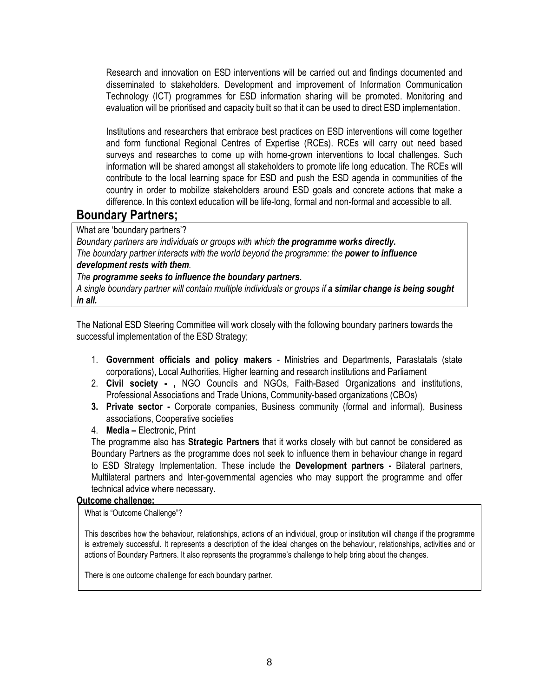Research and innovation on ESD interventions will be carried out and findings documented and disseminated to stakeholders. Development and improvement of Information Communication Technology (ICT) programmes for ESD information sharing will be promoted. Monitoring and evaluation will be prioritised and capacity built so that it can be used to direct ESD implementation.

Institutions and researchers that embrace best practices on ESD interventions will come together and form functional Regional Centres of Expertise (RCEs). RCEs will carry out need based surveys and researches to come up with home-grown interventions to local challenges. Such information will be shared amongst all stakeholders to promote life long education. The RCEs will contribute to the local learning space for ESD and push the ESD agenda in communities of the country in order to mobilize stakeholders around ESD goals and concrete actions that make a difference. In this context education will be life-long, formal and non-formal and accessible to all.

### Boundary Partners;

What are 'boundary partners'?

Boundary partners are individuals or groups with which the programme works directly. The boundary partner interacts with the world beyond the programme: the **power to influence** development rests with them.

The programme seeks to influence the boundary partners.

A single boundary partner will contain multiple individuals or groups if a similar change is being sought in all.

The National ESD Steering Committee will work closely with the following boundary partners towards the successful implementation of the ESD Strategy;

- 1. Government officials and policy makers Ministries and Departments, Parastatals (state corporations), Local Authorities, Higher learning and research institutions and Parliament
- 2. Civil society , NGO Councils and NGOs, Faith-Based Organizations and institutions, Professional Associations and Trade Unions, Community-based organizations (CBOs)
- 3. Private sector Corporate companies, Business community (formal and informal), Business associations, Cooperative societies
- 4. Media Electronic, Print

The programme also has **Strategic Partners** that it works closely with but cannot be considered as Boundary Partners as the programme does not seek to influence them in behaviour change in regard to ESD Strategy Implementation. These include the **Development partners** - Bilateral partners, Multilateral partners and Inter-governmental agencies who may support the programme and offer technical advice where necessary.

#### Outcome challenge;

What is "Outcome Challenge"?

This describes how the behaviour, relationships, actions of an individual, group or institution will change if the programme is extremely successful. It represents a description of the ideal changes on the behaviour, relationships, activities and or actions of Boundary Partners. It also represents the programme's challenge to help bring about the changes.

There is one outcome challenge for each boundary partner.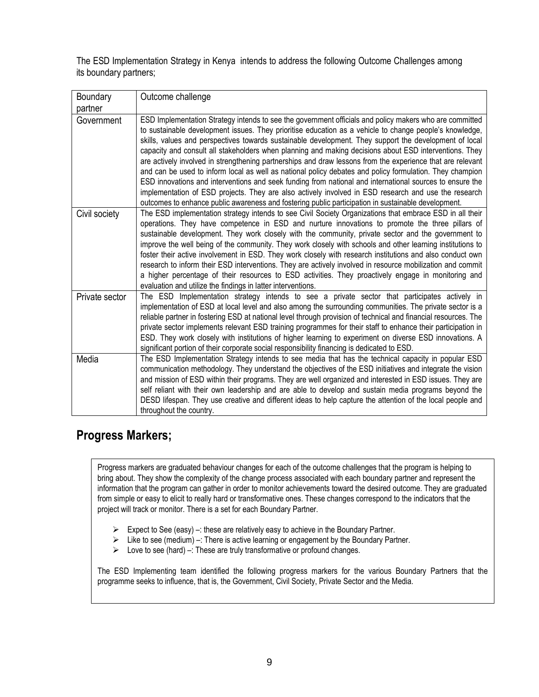The ESD Implementation Strategy in Kenya intends to address the following Outcome Challenges among its boundary partners;

| Boundary       | Outcome challenge                                                                                                                                                                                                                                                                                                                                                                                                                                                                                                                                                                                                                                                                                                                                                                                                                                                                                                                                                                           |
|----------------|---------------------------------------------------------------------------------------------------------------------------------------------------------------------------------------------------------------------------------------------------------------------------------------------------------------------------------------------------------------------------------------------------------------------------------------------------------------------------------------------------------------------------------------------------------------------------------------------------------------------------------------------------------------------------------------------------------------------------------------------------------------------------------------------------------------------------------------------------------------------------------------------------------------------------------------------------------------------------------------------|
| partner        |                                                                                                                                                                                                                                                                                                                                                                                                                                                                                                                                                                                                                                                                                                                                                                                                                                                                                                                                                                                             |
| Government     | ESD Implementation Strategy intends to see the government officials and policy makers who are committed<br>to sustainable development issues. They prioritise education as a vehicle to change people's knowledge,<br>skills, values and perspectives towards sustainable development. They support the development of local<br>capacity and consult all stakeholders when planning and making decisions about ESD interventions. They<br>are actively involved in strengthening partnerships and draw lessons from the experience that are relevant<br>and can be used to inform local as well as national policy debates and policy formulation. They champion<br>ESD innovations and interventions and seek funding from national and international sources to ensure the<br>implementation of ESD projects. They are also actively involved in ESD research and use the research<br>outcomes to enhance public awareness and fostering public participation in sustainable development. |
| Civil society  | The ESD implementation strategy intends to see Civil Society Organizations that embrace ESD in all their<br>operations. They have competence in ESD and nurture innovations to promote the three pillars of<br>sustainable development. They work closely with the community, private sector and the government to<br>improve the well being of the community. They work closely with schools and other learning institutions to<br>foster their active involvement in ESD. They work closely with research institutions and also conduct own<br>research to inform their ESD interventions. They are actively involved in resource mobilization and commit<br>a higher percentage of their resources to ESD activities. They proactively engage in monitoring and<br>evaluation and utilize the findings in latter interventions.                                                                                                                                                          |
| Private sector | The ESD Implementation strategy intends to see a private sector that participates actively in<br>implementation of ESD at local level and also among the surrounding communities. The private sector is a<br>reliable partner in fostering ESD at national level through provision of technical and financial resources. The<br>private sector implements relevant ESD training programmes for their staff to enhance their participation in<br>ESD. They work closely with institutions of higher learning to experiment on diverse ESD innovations. A<br>significant portion of their corporate social responsibility financing is dedicated to ESD.                                                                                                                                                                                                                                                                                                                                      |
| Media          | The ESD Implementation Strategy intends to see media that has the technical capacity in popular ESD<br>communication methodology. They understand the objectives of the ESD initiatives and integrate the vision<br>and mission of ESD within their programs. They are well organized and interested in ESD issues. They are<br>self reliant with their own leadership and are able to develop and sustain media programs beyond the<br>DESD lifespan. They use creative and different ideas to help capture the attention of the local people and<br>throughout the country.                                                                                                                                                                                                                                                                                                                                                                                                               |

# Progress Markers;

Progress markers are graduated behaviour changes for each of the outcome challenges that the program is helping to bring about. They show the complexity of the change process associated with each boundary partner and represent the information that the program can gather in order to monitor achievements toward the desired outcome. They are graduated from simple or easy to elicit to really hard or transformative ones. These changes correspond to the indicators that the project will track or monitor. There is a set for each Boundary Partner.

- Expect to See (easy) –: these are relatively easy to achieve in the Boundary Partner.
- $\triangleright$  Like to see (medium) -: There is active learning or engagement by the Boundary Partner.
- $\triangleright$  Love to see (hard) –: These are truly transformative or profound changes.

The ESD Implementing team identified the following progress markers for the various Boundary Partners that the programme seeks to influence, that is, the Government, Civil Society, Private Sector and the Media.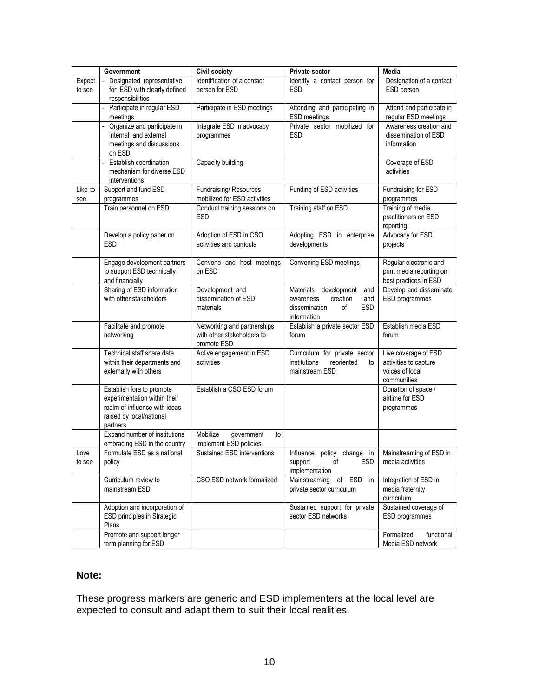|                  | Government                                                                                                                         | <b>Civil society</b>                                                     | Private sector                                                                                                      | Media                                                                           |
|------------------|------------------------------------------------------------------------------------------------------------------------------------|--------------------------------------------------------------------------|---------------------------------------------------------------------------------------------------------------------|---------------------------------------------------------------------------------|
| Expect<br>to see | - Designated representative<br>for ESD with clearly defined<br>responsibilities                                                    | Identification of a contact<br>person for ESD                            | Identify a contact person for<br><b>ESD</b>                                                                         | Designation of a contact<br>ESD person                                          |
|                  | - Participate in regular ESD<br>meetings                                                                                           | Participate in ESD meetings                                              | Attending and participating in<br>ESD meetings                                                                      | Attend and participate in<br>regular ESD meetings                               |
|                  | Organize and participate in<br>internal and external<br>meetings and discussions<br>on ESD                                         | Integrate ESD in advocacy<br>programmes                                  | Private sector mobilized for<br><b>ESD</b>                                                                          | Awareness creation and<br>dissemination of ESD<br>information                   |
|                  | Establish coordination<br>$\equiv$<br>mechanism for diverse ESD<br>interventions                                                   | Capacity building                                                        |                                                                                                                     | Coverage of ESD<br>activities                                                   |
| Like to<br>see   | Support and fund ESD<br>programmes                                                                                                 | Fundraising/Resources<br>mobilized for ESD activities                    | Funding of ESD activities                                                                                           | Fundraising for ESD<br>programmes                                               |
|                  | Train personnel on ESD                                                                                                             | Conduct training sessions on<br><b>ESD</b>                               | Training staff on ESD                                                                                               | Training of media<br>practitioners on ESD<br>reporting                          |
|                  | Develop a policy paper on<br><b>ESD</b>                                                                                            | Adoption of ESD in CSO<br>activities and curricula                       | Adopting ESD in enterprise<br>developments                                                                          | Advocacy for ESD<br>projects                                                    |
|                  | Engage development partners<br>to support ESD technically<br>and financially                                                       | Convene and host meetings<br>on ESD                                      | Convening ESD meetings                                                                                              | Regular electronic and<br>print media reporting on<br>best practices in ESD     |
|                  | Sharing of ESD information<br>with other stakeholders                                                                              | Development and<br>dissemination of ESD<br>materials                     | development<br>Materials<br>and<br>creation<br>awareness<br>and<br>dissemination<br>οf<br><b>ESD</b><br>information | Develop and disseminate<br>ESD programmes                                       |
|                  | Facilitate and promote<br>networking                                                                                               | Networking and partnerships<br>with other stakeholders to<br>promote ESD | Establish a private sector ESD<br>forum                                                                             | Establish media ESD<br>forum                                                    |
|                  | Technical staff share data<br>within their departments and<br>externally with others                                               | Active engagement in ESD<br>activities                                   | Curriculum for private sector<br>institutions<br>reoriented<br>to<br>mainstream ESD                                 | Live coverage of ESD<br>activities to capture<br>voices of local<br>communities |
|                  | Establish fora to promote<br>experimentation within their<br>realm of influence with ideas<br>raised by local/national<br>partners | Establish a CSO ESD forum                                                |                                                                                                                     | Donation of space /<br>airtime for ESD<br>programmes                            |
|                  | Expand number of institutions<br>embracing ESD in the country                                                                      | Mobilize<br>government<br>to<br>implement ESD policies                   |                                                                                                                     |                                                                                 |
| Love<br>to see   | Formulate ESD as a national<br>policy                                                                                              | Sustained ESD interventions                                              | Influence policy change in<br>support<br>οf<br>ESD<br>implementation                                                | Mainstreaming of ESD in<br>media activities                                     |
|                  | Curriculum review to<br>mainstream ESD                                                                                             | CSO ESD network formalized                                               | Mainstreaming of ESD<br>in<br>private sector curriculum                                                             | Integration of ESD in<br>media fraternity<br>curriculum                         |
|                  | Adoption and incorporation of<br>ESD principles in Strategic<br>Plans                                                              |                                                                          | Sustained support for private<br>sector ESD networks                                                                | Sustained coverage of<br>ESD programmes                                         |
|                  | Promote and support longer<br>term planning for ESD                                                                                |                                                                          |                                                                                                                     | Formalized<br>functional<br>Media ESD network                                   |

### **Note:**

These progress markers are generic and ESD implementers at the local level are expected to consult and adapt them to suit their local realities.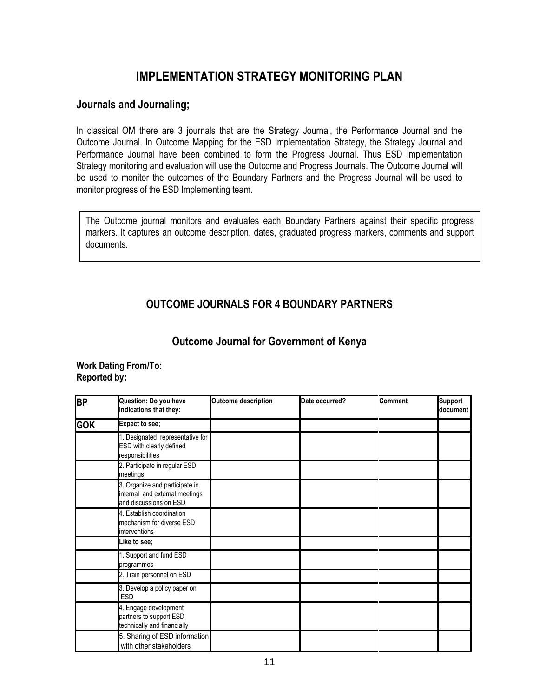# IMPLEMENTATION STRATEGY MONITORING PLAN

### Journals and Journaling;

In classical OM there are 3 journals that are the Strategy Journal, the Performance Journal and the Outcome Journal. In Outcome Mapping for the ESD Implementation Strategy, the Strategy Journal and Performance Journal have been combined to form the Progress Journal. Thus ESD Implementation Strategy monitoring and evaluation will use the Outcome and Progress Journals. The Outcome Journal will be used to monitor the outcomes of the Boundary Partners and the Progress Journal will be used to monitor progress of the ESD Implementing team.

The Outcome journal monitors and evaluates each Boundary Partners against their specific progress markers. It captures an outcome description, dates, graduated progress markers, comments and support documents.

## OUTCOME JOURNALS FOR 4 BOUNDARY PARTNERS

### Outcome Journal for Government of Kenya

Work Dating From/To: Reported by:

| B <sub>P</sub> | Question: Do you have<br>indications that they:                                            | <b>Outcome description</b> | Date occurred? | <b>Comment</b> | <b>Support</b><br>document |
|----------------|--------------------------------------------------------------------------------------------|----------------------------|----------------|----------------|----------------------------|
| <b>GOK</b>     | Expect to see;                                                                             |                            |                |                |                            |
|                | I. Designated representative for<br>ESD with clearly defined<br>responsibilities           |                            |                |                |                            |
|                | 2. Participate in regular ESD<br>meetings                                                  |                            |                |                |                            |
|                | 3. Organize and participate in<br>internal and external meetings<br>and discussions on ESD |                            |                |                |                            |
|                | 4. Establish coordination<br>mechanism for diverse ESD<br>interventions                    |                            |                |                |                            |
|                | Like to see;                                                                               |                            |                |                |                            |
|                | 1. Support and fund ESD<br>programmes                                                      |                            |                |                |                            |
|                | 2. Train personnel on ESD                                                                  |                            |                |                |                            |
|                | 3. Develop a policy paper on<br>ESD                                                        |                            |                |                |                            |
|                | 4. Engage development<br>partners to support ESD<br>technically and financially            |                            |                |                |                            |
|                | 5. Sharing of ESD information<br>with other stakeholders                                   |                            |                |                |                            |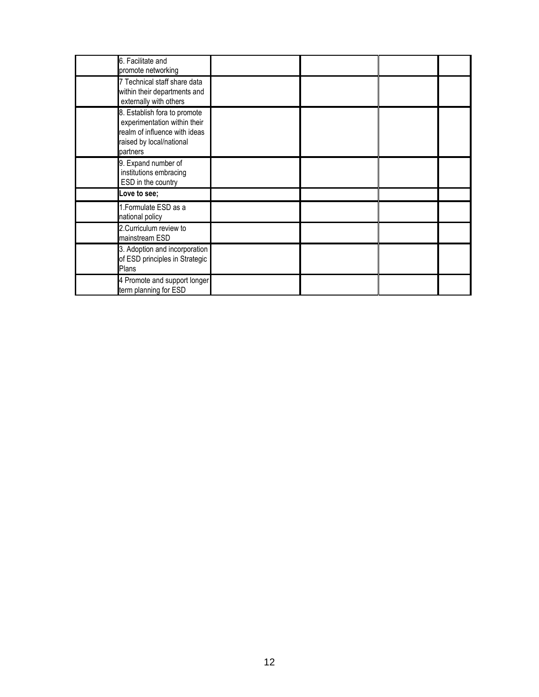| 6. Facilitate and<br>promote networking                                                                                               |  |  |
|---------------------------------------------------------------------------------------------------------------------------------------|--|--|
| 7 Technical staff share data<br>within their departments and<br>externally with others                                                |  |  |
| 8. Establish fora to promote<br>experimentation within their<br>realm of influence with ideas<br>raised by local/national<br>partners |  |  |
| 9. Expand number of<br>institutions embracing<br>ESD in the country                                                                   |  |  |
| Love to see;                                                                                                                          |  |  |
| 1.Formulate ESD as a<br>national policy                                                                                               |  |  |
| 2. Curriculum review to<br>mainstream ESD                                                                                             |  |  |
| 3. Adoption and incorporation<br>of ESD principles in Strategic<br>Plans                                                              |  |  |
| 4 Promote and support longer<br>term planning for ESD                                                                                 |  |  |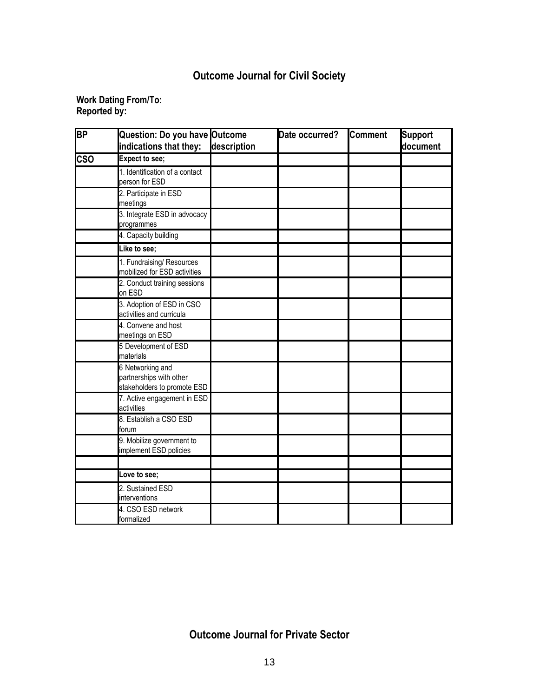# Outcome Journal for Civil Society

#### Work Dating From/To: Reported by:

| <b>BP</b>  | Question: Do you have Outcome<br>indications that they:                    | description | Date occurred? | <b>Comment</b> | <b>Support</b><br>document |
|------------|----------------------------------------------------------------------------|-------------|----------------|----------------|----------------------------|
| <b>CSO</b> | <b>Expect to see;</b>                                                      |             |                |                |                            |
|            | 1. Identification of a contact<br>person for ESD                           |             |                |                |                            |
|            | 2. Participate in ESD<br>meetings                                          |             |                |                |                            |
|            | 3. Integrate ESD in advocacy<br>programmes                                 |             |                |                |                            |
|            | 4. Capacity building                                                       |             |                |                |                            |
|            | Like to see;                                                               |             |                |                |                            |
|            | 1. Fundraising/ Resources<br>mobilized for ESD activities                  |             |                |                |                            |
|            | 2. Conduct training sessions<br>on ESD                                     |             |                |                |                            |
|            | 3. Adoption of ESD in CSO<br>activities and curricula                      |             |                |                |                            |
|            | 4. Convene and host<br>meetings on ESD                                     |             |                |                |                            |
|            | 5 Development of ESD<br>materials                                          |             |                |                |                            |
|            | 6 Networking and<br>partnerships with other<br>stakeholders to promote ESD |             |                |                |                            |
|            | 7. Active engagement in ESD<br>activities                                  |             |                |                |                            |
|            | 8. Establish a CSO ESD<br>forum                                            |             |                |                |                            |
|            | 9. Mobilize government to<br>implement ESD policies                        |             |                |                |                            |
|            |                                                                            |             |                |                |                            |
|            | Love to see;                                                               |             |                |                |                            |
|            | 2. Sustained ESD<br>interventions                                          |             |                |                |                            |
|            | 4. CSO ESD network<br>formalized                                           |             |                |                |                            |

# Outcome Journal for Private Sector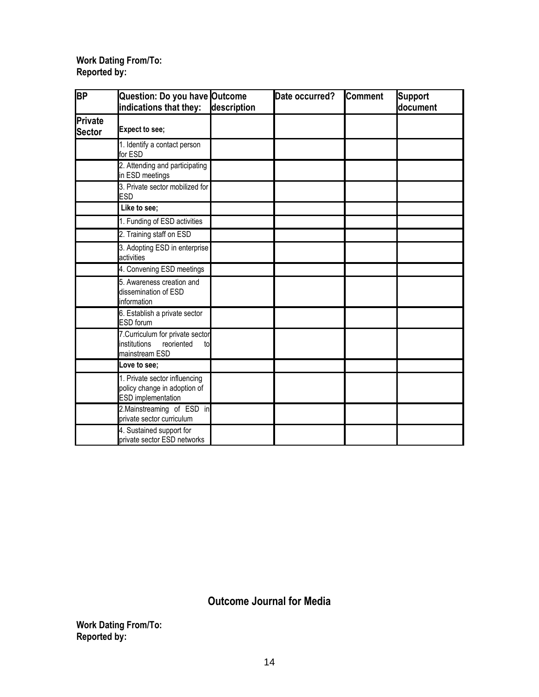#### Work Dating From/To: Reported by:

| <b>BP</b>                | Question: Do you have Outcome<br>indications that they:                                | description | Date occurred? | <b>Comment</b> | <b>Support</b><br>document |
|--------------------------|----------------------------------------------------------------------------------------|-------------|----------------|----------------|----------------------------|
| Private<br><b>Sector</b> | <b>Expect to see;</b>                                                                  |             |                |                |                            |
|                          | 1. Identify a contact person<br>for ESD                                                |             |                |                |                            |
|                          | 2. Attending and participating<br>in ESD meetings                                      |             |                |                |                            |
|                          | 3. Private sector mobilized for<br><b>ESD</b>                                          |             |                |                |                            |
|                          | Like to see;                                                                           |             |                |                |                            |
|                          | 1. Funding of ESD activities                                                           |             |                |                |                            |
|                          | 2. Training staff on ESD                                                               |             |                |                |                            |
|                          | 3. Adopting ESD in enterprise<br>activities                                            |             |                |                |                            |
|                          | 4. Convening ESD meetings                                                              |             |                |                |                            |
|                          | 5. Awareness creation and<br>dissemination of ESD<br>information                       |             |                |                |                            |
|                          | 6. Establish a private sector<br><b>ESD</b> forum                                      |             |                |                |                            |
|                          | 7. Curriculum for private sector<br>institutions<br>reoriented<br>to<br>mainstream ESD |             |                |                |                            |
|                          | Love to see;                                                                           |             |                |                |                            |
|                          | 1. Private sector influencing<br>policy change in adoption of<br>ESD implementation    |             |                |                |                            |
|                          | 2.Mainstreaming of ESD in<br>private sector curriculum                                 |             |                |                |                            |
|                          | 4. Sustained support for<br>private sector ESD networks                                |             |                |                |                            |

Outcome Journal for Media

Work Dating From/To: Reported by: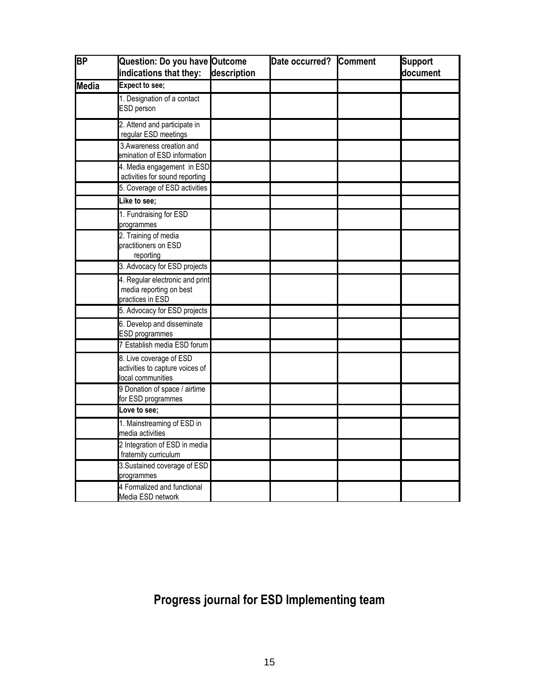| <b>BP</b>    | Question: Do you have Outcome<br>indications that they:                         | description | Date occurred? | <b>Comment</b> | <b>Support</b><br>document |
|--------------|---------------------------------------------------------------------------------|-------------|----------------|----------------|----------------------------|
|              | <b>Expect to see;</b>                                                           |             |                |                |                            |
| <b>Media</b> |                                                                                 |             |                |                |                            |
|              | 1. Designation of a contact<br>ESD person                                       |             |                |                |                            |
|              | 2. Attend and participate in<br>regular ESD meetings                            |             |                |                |                            |
|              | 3. Awareness creation and<br>emination of ESD information                       |             |                |                |                            |
|              | 4. Media engagement in ESD<br>activities for sound reporting                    |             |                |                |                            |
|              | 5. Coverage of ESD activities                                                   |             |                |                |                            |
|              | Like to see:                                                                    |             |                |                |                            |
|              | 1. Fundraising for ESD<br>programmes                                            |             |                |                |                            |
|              | 2. Training of media<br>practitioners on ESD<br>reporting                       |             |                |                |                            |
|              | 3. Advocacy for ESD projects                                                    |             |                |                |                            |
|              | 4. Regular electronic and print<br>media reporting on best<br>practices in ESD  |             |                |                |                            |
|              | 5. Advocacy for ESD projects                                                    |             |                |                |                            |
|              | 6. Develop and disseminate<br><b>ESD</b> programmes                             |             |                |                |                            |
|              | 7 Establish media ESD forum                                                     |             |                |                |                            |
|              | 8. Live coverage of ESD<br>activities to capture voices of<br>local communities |             |                |                |                            |
|              | 9 Donation of space / airtime<br>for ESD programmes                             |             |                |                |                            |
|              | Love to see;                                                                    |             |                |                |                            |
|              | 1. Mainstreaming of ESD in<br>media activities                                  |             |                |                |                            |
|              | 2 Integration of ESD in media<br>fraternity curriculum                          |             |                |                |                            |
|              | 3. Sustained coverage of ESD<br>programmes                                      |             |                |                |                            |
|              | 4 Formalized and functional<br>Media ESD network                                |             |                |                |                            |

# Progress journal for ESD Implementing team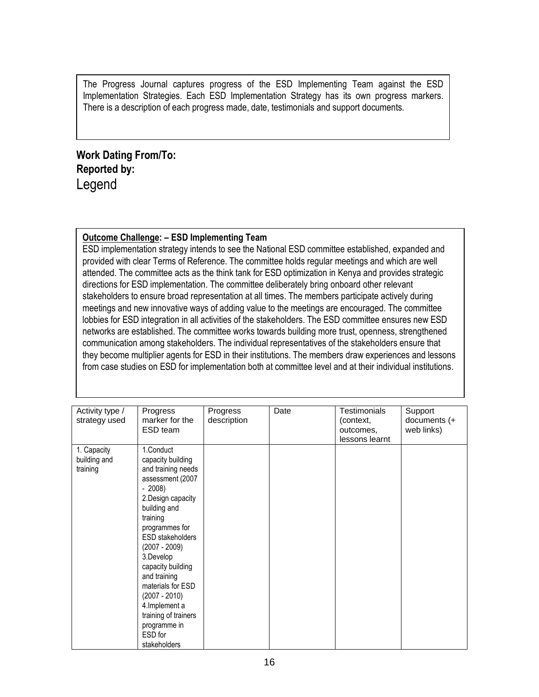The Progress Journal captures progress of the ESD Implementing Team against the ESD Implementation Strategies. Each ESD Implementation Strategy has its own progress markers. There is a description of each progress made, date, testimonials and support documents.

# Work Dating From/To: Reported by: Legend

#### Outcome Challenge: – ESD Implementing Team

ESD implementation strategy intends to see the National ESD committee established, expanded and provided with clear Terms of Reference. The committee holds regular meetings and which are well attended. The committee acts as the think tank for ESD optimization in Kenya and provides strategic directions for ESD implementation. The committee deliberately bring onboard other relevant stakeholders to ensure broad representation at all times. The members participate actively during meetings and new innovative ways of adding value to the meetings are encouraged. The committee lobbies for ESD integration in all activities of the stakeholders. The ESD committee ensures new ESD networks are established. The committee works towards building more trust, openness, strengthened communication among stakeholders. The individual representatives of the stakeholders ensure that they become multiplier agents for ESD in their institutions. The members draw experiences and lessons from case studies on ESD for implementation both at committee level and at their individual institutions.

| Activity type /<br>strategy used        | Progress<br>marker for the<br>ESD team                                                                                                                                                                                                                                                                                                                                               | Progress<br>description | Date | Testimonials<br>(context,<br>outcomes,<br>lessons learnt | Support<br>documents $(+$<br>web links) |
|-----------------------------------------|--------------------------------------------------------------------------------------------------------------------------------------------------------------------------------------------------------------------------------------------------------------------------------------------------------------------------------------------------------------------------------------|-------------------------|------|----------------------------------------------------------|-----------------------------------------|
| 1. Capacity<br>building and<br>training | 1.Conduct<br>capacity building<br>and training needs<br>assessment (2007<br>$-2008$<br>2. Design capacity<br>building and<br>training<br>programmes for<br><b>ESD</b> stakeholders<br>$(2007 - 2009)$<br>3.Develop<br>capacity building<br>and training<br>materials for ESD<br>$(2007 - 2010)$<br>4. Implement a<br>training of trainers<br>programme in<br>ESD for<br>stakeholders |                         |      |                                                          |                                         |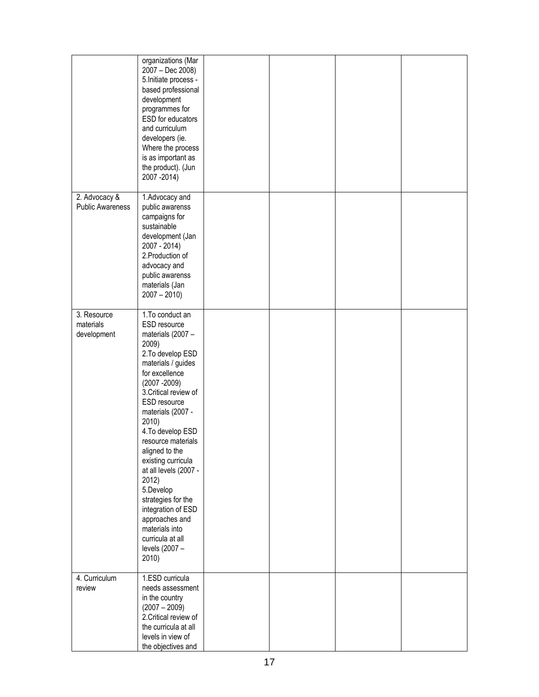|                                          | organizations (Mar<br>2007 - Dec 2008)<br>5. Initiate process -<br>based professional<br>development<br>programmes for<br>ESD for educators<br>and curriculum<br>developers (ie.<br>Where the process<br>is as important as<br>the product). (Jun<br>2007 - 2014)                                                                                                                                                                                                                      |  |  |
|------------------------------------------|----------------------------------------------------------------------------------------------------------------------------------------------------------------------------------------------------------------------------------------------------------------------------------------------------------------------------------------------------------------------------------------------------------------------------------------------------------------------------------------|--|--|
| 2. Advocacy &<br><b>Public Awareness</b> | 1.Advocacy and<br>public awarenss<br>campaigns for<br>sustainable<br>development (Jan<br>2007 - 2014)<br>2. Production of<br>advocacy and<br>public awarenss<br>materials (Jan<br>$2007 - 2010$                                                                                                                                                                                                                                                                                        |  |  |
| 3. Resource<br>materials<br>development  | 1. To conduct an<br>ESD resource<br>materials (2007 -<br>2009)<br>2. To develop ESD<br>materials / guides<br>for excellence<br>$(2007 - 2009)$<br>3. Critical review of<br>ESD resource<br>materials (2007 -<br>2010)<br>4. To develop ESD<br>resource materials<br>aligned to the<br>existing curricula<br>at all levels (2007 -<br>2012)<br>5.Develop<br>strategies for the<br>integration of ESD<br>approaches and<br>materials into<br>curricula at all<br>levels (2007 -<br>2010) |  |  |
| 4. Curriculum<br>review                  | 1.ESD curricula<br>needs assessment<br>in the country<br>$(2007 - 2009)$<br>2. Critical review of<br>the curricula at all<br>levels in view of<br>the objectives and                                                                                                                                                                                                                                                                                                                   |  |  |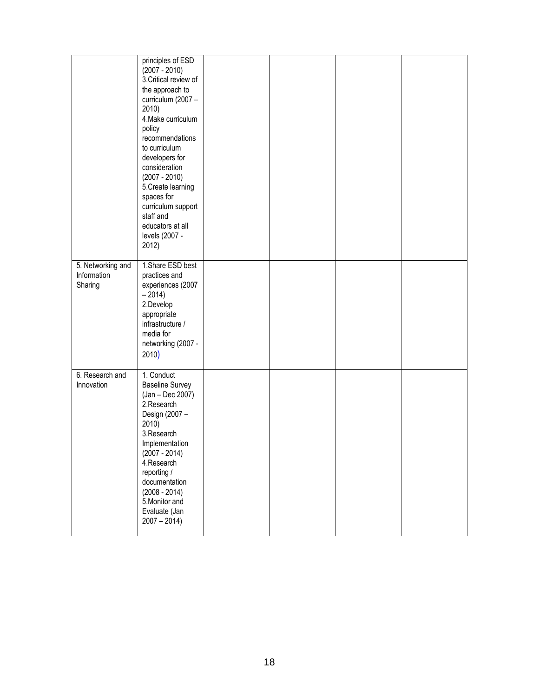|                                             | principles of ESD<br>$(2007 - 2010)$<br>3. Critical review of<br>the approach to<br>curriculum (2007 -<br>2010)<br>4. Make curriculum<br>policy<br>recommendations<br>to curriculum<br>developers for<br>consideration<br>$(2007 - 2010)$<br>5. Create learning<br>spaces for<br>curriculum support<br>staff and<br>educators at all<br>levels (2007 -<br>2012) |  |  |
|---------------------------------------------|-----------------------------------------------------------------------------------------------------------------------------------------------------------------------------------------------------------------------------------------------------------------------------------------------------------------------------------------------------------------|--|--|
| 5. Networking and<br>Information<br>Sharing | 1.Share ESD best<br>practices and<br>experiences (2007<br>$-2014$<br>2.Develop<br>appropriate<br>infrastructure /<br>media for<br>networking (2007 -<br>2010)                                                                                                                                                                                                   |  |  |
| 6. Research and<br>Innovation               | 1. Conduct<br><b>Baseline Survey</b><br>(Jan - Dec 2007)<br>2.Research<br>Design (2007 -<br>2010)<br>3.Research<br>Implementation<br>$(2007 - 2014)$<br>4.Research<br>reporting /<br>documentation<br>$(2008 - 2014)$<br>5. Monitor and<br>Evaluate (Jan<br>$2007 - 2014$                                                                                       |  |  |